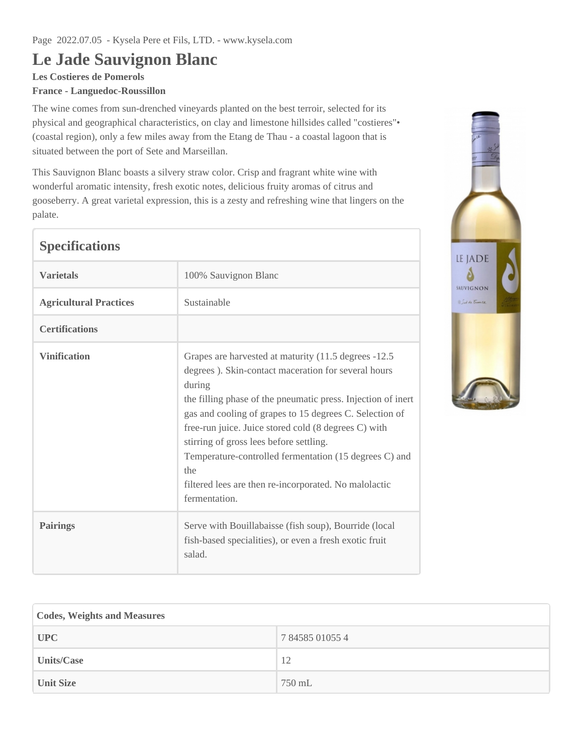## **Le Jade Sauvignon Blanc**

**Les Costieres de Pomerols**

## **France - Languedoc-Roussillon**

The wine comes from sun-drenched vineyards planted on the best terroir, selected for its physical and geographical characteristics, on clay and limestone hillsides called "costieres"• (coastal region), only a few miles away from the Etang de Thau - a coastal lagoon that is situated between the port of Sete and Marseillan.

This Sauvignon Blanc boasts a silvery straw color. Crisp and fragrant white wine with wonderful aromatic intensity, fresh exotic notes, delicious fruity aromas of citrus and gooseberry. A great varietal expression, this is a zesty and refreshing wine that lingers on the palate.

| <b>Specifications</b>         |                                                                                                                                                                                                                                                                                                                                                                                                                                                                                                 |
|-------------------------------|-------------------------------------------------------------------------------------------------------------------------------------------------------------------------------------------------------------------------------------------------------------------------------------------------------------------------------------------------------------------------------------------------------------------------------------------------------------------------------------------------|
| <b>Varietals</b>              | 100% Sauvignon Blanc                                                                                                                                                                                                                                                                                                                                                                                                                                                                            |
| <b>Agricultural Practices</b> | Sustainable                                                                                                                                                                                                                                                                                                                                                                                                                                                                                     |
| <b>Certifications</b>         |                                                                                                                                                                                                                                                                                                                                                                                                                                                                                                 |
| <b>Vinification</b>           | Grapes are harvested at maturity (11.5 degrees -12.5)<br>degrees). Skin-contact maceration for several hours<br>during<br>the filling phase of the pneumatic press. Injection of inert<br>gas and cooling of grapes to 15 degrees C. Selection of<br>free-run juice. Juice stored cold (8 degrees C) with<br>stirring of gross lees before settling.<br>Temperature-controlled fermentation (15 degrees C) and<br>the<br>filtered lees are then re-incorporated. No malolactic<br>fermentation. |
| <b>Pairings</b>               | Serve with Bouillabaisse (fish soup), Bourride (local<br>fish-based specialities), or even a fresh exotic fruit<br>salad.                                                                                                                                                                                                                                                                                                                                                                       |